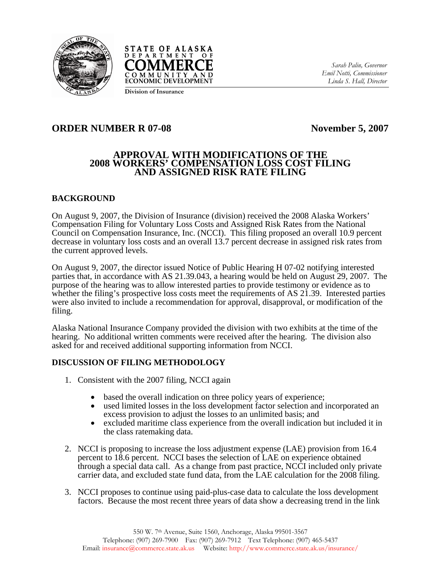



*Sarah Palin, Governor Emil Notti, Commissioner Linda S. Hall, Director* 

# **ORDER NUMBER R 07-08** November 5, 2007

### **APPROVAL WITH MODIFICATIONS OF THE 2008 WORKERS' COMPENSATION LOSS COST FILING AND ASSIGNED RISK RATE FILING**

## **BACKGROUND**

On August 9, 2007, the Division of Insurance (division) received the 2008 Alaska Workers' Compensation Filing for Voluntary Loss Costs and Assigned Risk Rates from the National Council on Compensation Insurance, Inc. (NCCI). This filing proposed an overall 10.9 percent decrease in voluntary loss costs and an overall 13.7 percent decrease in assigned risk rates from the current approved levels.

On August 9, 2007, the director issued Notice of Public Hearing H 07-02 notifying interested parties that, in accordance with AS 21.39.043, a hearing would be held on August 29, 2007. The purpose of the hearing was to allow interested parties to provide testimony or evidence as to whether the filing's prospective loss costs meet the requirements of AS 21.39. Interested parties were also invited to include a recommendation for approval, disapproval, or modification of the filing.

Alaska National Insurance Company provided the division with two exhibits at the time of the hearing. No additional written comments were received after the hearing. The division also asked for and received additional supporting information from NCCI.

### **DISCUSSION OF FILING METHODOLOGY**

- 1. Consistent with the 2007 filing, NCCI again
	- based the overall indication on three policy years of experience;<br>• used limited losses in the loss development factor selection and i
	- used limited losses in the loss development factor selection and incorporated an excess provision to adjust the losses to an unlimited basis; and
	- excluded maritime class experience from the overall indication but included it in the class ratemaking data.
- 2. NCCI is proposing to increase the loss adjustment expense (LAE) provision from 16.4 percent to 18.6 percent. NCCI bases the selection of LAE on experience obtained through a special data call. As a change from past practice, NCCI included only private carrier data, and excluded state fund data, from the LAE calculation for the 2008 filing.
- 3. NCCI proposes to continue using paid-plus-case data to calculate the loss development factors. Because the most recent three years of data show a decreasing trend in the link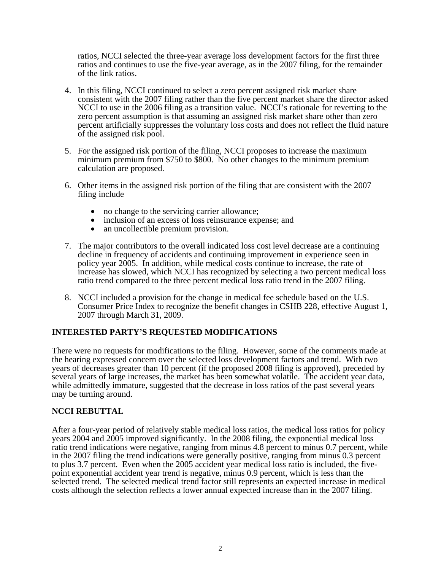ratios, NCCI selected the three-year average loss development factors for the first three ratios and continues to use the five-year average, as in the 2007 filing, for the remainder of the link ratios.

- 4. In this filing, NCCI continued to select a zero percent assigned risk market share consistent with the 2007 filing rather than the five percent market share the director asked NCCI to use in the 2006 filing as a transition value. NCCI's rationale for reverting to the zero percent assumption is that assuming an assigned risk market share other than zero percent artificially suppresses the voluntary loss costs and does not reflect the fluid nature of the assigned risk pool.
- 5. For the assigned risk portion of the filing, NCCI proposes to increase the maximum minimum premium from \$750 to \$800. No other changes to the minimum premium calculation are proposed.
- 6. Other items in the assigned risk portion of the filing that are consistent with the 2007 filing include
	-
	- no change to the servicing carrier allowance;<br>• inclusion of an excess of loss reinsurance expense; and<br>• an uncollectible premium provision.
	-
- 7. The major contributors to the overall indicated loss cost level decrease are a continuing decline in frequency of accidents and continuing improvement in experience seen in policy year 2005. In addition, while medical costs continue to increase, the rate of increase has slowed, which NCCI has recognized by selecting a two percent medical loss ratio trend compared to the three percent medical loss ratio trend in the 2007 filing.
- 8. NCCI included a provision for the change in medical fee schedule based on the U.S. Consumer Price Index to recognize the benefit changes in CSHB 228, effective August 1, 2007 through March 31, 2009.

### **INTERESTED PARTY'S REQUESTED MODIFICATIONS**

There were no requests for modifications to the filing. However, some of the comments made at the hearing expressed concern over the selected loss development factors and trend. With two years of decreases greater than 10 percent (if the proposed 2008 filing is approved), preceded by several years of large increases, the market has been somewhat volatile. The accident year data, while admittedly immature, suggested that the decrease in loss ratios of the past several years may be turning around.

### **NCCI REBUTTAL**

After a four-year period of relatively stable medical loss ratios, the medical loss ratios for policy years 2004 and 2005 improved significantly. In the 2008 filing, the exponential medical loss ratio trend indications were negative, ranging from minus 4.8 percent to minus 0.7 percent, while in the 2007 filing the trend indications were generally positive, ranging from minus 0.3 percent to plus 3.7 percent. Even when the 2005 accident year medical loss ratio is included, the fivepoint exponential accident year trend is negative, minus 0.9 percent, which is less than the selected trend. The selected medical trend factor still represents an expected increase in medical costs although the selection reflects a lower annual expected increase than in the 2007 filing.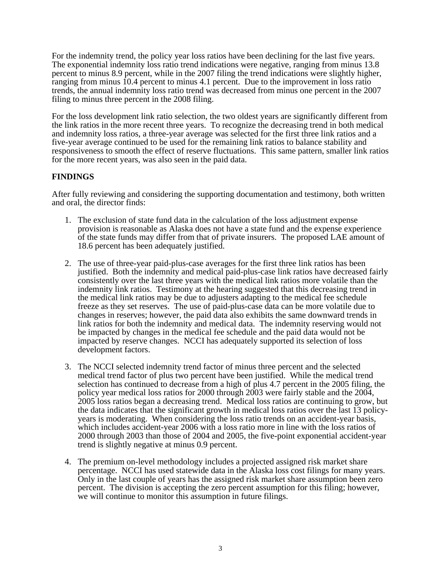For the indemnity trend, the policy year loss ratios have been declining for the last five years. The exponential indemnity loss ratio trend indications were negative, ranging from minus 13.8 percent to minus 8.9 percent, while in the 2007 filing the trend indications were slightly higher, ranging from minus 10.4 percent to minus 4.1 percent. Due to the improvement in loss ratio trends, the annual indemnity loss ratio trend was decreased from minus one percent in the 2007 filing to minus three percent in the 2008 filing.

For the loss development link ratio selection, the two oldest years are significantly different from the link ratios in the more recent three years. To recognize the decreasing trend in both medical and indemnity loss ratios, a three-year average was selected for the first three link ratios and a five-year average continued to be used for the remaining link ratios to balance stability and responsiveness to smooth the effect of reserve fluctuations. This same pattern, smaller link ratios for the more recent years, was also seen in the paid data.

### **FINDINGS**

After fully reviewing and considering the supporting documentation and testimony, both written and oral, the director finds:

- 1. The exclusion of state fund data in the calculation of the loss adjustment expense provision is reasonable as Alaska does not have a state fund and the expense experience of the state funds may differ from that of private insurers. The proposed LAE amount of 18.6 percent has been adequately justified.
- 2. The use of three-year paid-plus-case averages for the first three link ratios has been justified. Both the indemnity and medical paid-plus-case link ratios have decreased fairly consistently over the last three years with the medical link ratios more volatile than the indemnity link ratios. Testimony at the hearing suggested that this decreasing trend in the medical link ratios may be due to adjusters adapting to the medical fee schedule freeze as they set reserves. The use of paid-plus-case data can be more volatile due to changes in reserves; however, the paid data also exhibits the same downward trends in link ratios for both the indemnity and medical data. The indemnity reserving would not be impacted by changes in the medical fee schedule and the paid data would not be impacted by reserve changes. NCCI has adequately supported its selection of loss development factors.
- 3. The NCCI selected indemnity trend factor of minus three percent and the selected medical trend factor of plus two percent have been justified. While the medical trend selection has continued to decrease from a high of plus 4.7 percent in the 2005 filing, the policy year medical loss ratios for 2000 through 2003 were fairly stable and the 2004, 2005 loss ratios began a decreasing trend. Medical loss ratios are continuing to grow, but the data indicates that the significant growth in medical loss ratios over the last 13 policyyears is moderating. When considering the loss ratio trends on an accident-year basis, which includes accident-year 2006 with a loss ratio more in line with the loss ratios of 2000 through 2003 than those of 2004 and 2005, the five-point exponential accident-year trend is slightly negative at minus 0.9 percent.
- 4. The premium on-level methodology includes a projected assigned risk market share percentage. NCCI has used statewide data in the Alaska loss cost filings for many years. Only in the last couple of years has the assigned risk market share assumption been zero percent. The division is accepting the zero percent assumption for this filing; however, we will continue to monitor this assumption in future filings.